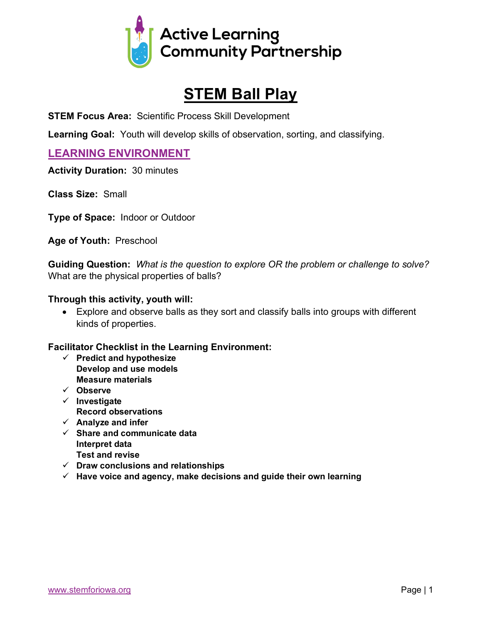

# **STEM Ball Play**

**STEM Focus Area:** Scientific Process Skill Development

**Learning Goal:** Youth will develop skills of observation, sorting, and classifying.

### **LEARNING ENVIRONMENT**

**Activity Duration:** 30 minutes

**Class Size:** Small

**Type of Space:** Indoor or Outdoor

**Age of Youth:** Preschool

**Guiding Question:** *What is the question to explore OR the problem or challenge to solve?* What are the physical properties of balls?

#### **Through this activity, youth will:**

• Explore and observe balls as they sort and classify balls into groups with different kinds of properties.

#### **Facilitator Checklist in the Learning Environment:**

- ü **Predict and hypothesize Develop and use models Measure materials**
- ü **Observe**
- ü **Investigate**
- **Record observations**
- $\checkmark$  Analyze and infer
- ü **Share and communicate data Interpret data Test and revise**
- ü **Draw conclusions and relationships**
- $\checkmark$  Have voice and agency, make decisions and guide their own learning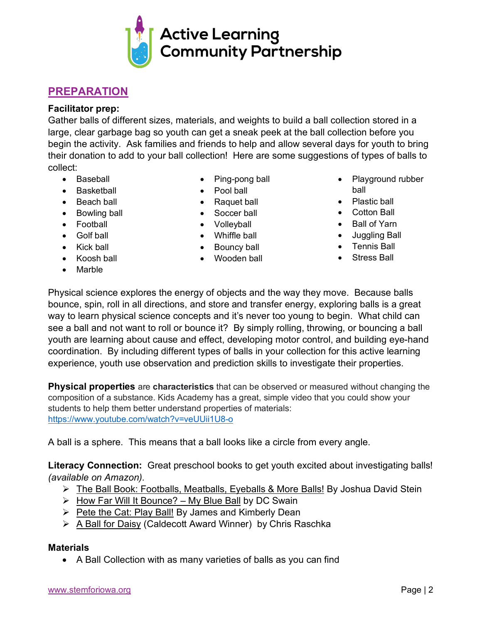# **PREPARATION**

#### **Facilitator prep:**

Gather balls of different sizes, materials, and weights to build a ball collection stored in a large, clear garbage bag so youth can get a sneak peek at the ball collection before you begin the activity. Ask families and friends to help and allow several days for youth to bring their donation to add to your ball collection! Here are some suggestions of types of balls to collect:

- Baseball
- Basketball
- Beach ball
- Bowling ball
- Football
- Golf ball
- Kick ball
- Koosh ball
- **Marble**
- Ping-pong ball
- Pool ball
- Raquet ball
- Soccer ball
- Volleyball
- Whiffle ball
- Bouncy ball
	- Wooden ball
- Playground rubber ball
- Plastic ball
- Cotton Ball
- Ball of Yarn
- Juggling Ball
- Tennis Ball
- Stress Ball

Physical science explores the energy of objects and the way they move. Because balls bounce, spin, roll in all directions, and store and transfer energy, exploring balls is a great way to learn physical science concepts and it's never too young to begin. What child can see a ball and not want to roll or bounce it? By simply rolling, throwing, or bouncing a ball youth are learning about cause and effect, developing motor control, and building eye-hand coordination. By including different types of balls in your collection for this active learning experience, youth use observation and prediction skills to investigate their properties.

**Physical properties** are **characteristics** that can be observed or measured without changing the composition of a substance. Kids Academy has a great, simple video that you could show your students to help them better understand properties of materials: https://www.youtube.com/watch?v=veUUii1U8-o

A ball is a sphere. This means that a ball looks like a circle from every angle.

**Literacy Connection:** Great preschool books to get youth excited about investigating balls! *(available on Amazon).*

- Ø The Ball Book: Footballs, Meatballs, Eyeballs & More Balls! By Joshua David Stein
- $\triangleright$  How Far Will It Bounce? My Blue Ball by DC Swain
- $\triangleright$  Pete the Cat: Play Ball! By James and Kimberly Dean
- $\triangleright$  A Ball for Daisy (Caldecott Award Winner) by Chris Raschka

#### **Materials**

• A Ball Collection with as many varieties of balls as you can find

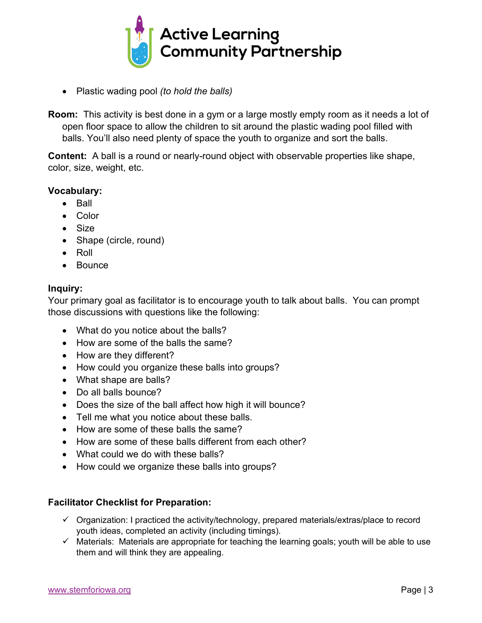

- Plastic wading pool *(to hold the balls)*
- **Room:** This activity is best done in a gym or a large mostly empty room as it needs a lot of open floor space to allow the children to sit around the plastic wading pool filled with balls. You'll also need plenty of space the youth to organize and sort the balls.

**Content:** A ball is a round or nearly-round object with observable properties like shape, color, size, weight, etc.

#### **Vocabulary:**

- Ball
- Color
- Size
- Shape (circle, round)
- Roll
- Bounce

#### **Inquiry:**

Your primary goal as facilitator is to encourage youth to talk about balls. You can prompt those discussions with questions like the following:

- What do you notice about the balls?
- How are some of the balls the same?
- How are they different?
- How could you organize these balls into groups?
- What shape are balls?
- Do all balls bounce?
- Does the size of the ball affect how high it will bounce?
- Tell me what you notice about these balls.
- How are some of these balls the same?
- How are some of these balls different from each other?
- What could we do with these balls?
- How could we organize these balls into groups?

#### **Facilitator Checklist for Preparation:**

- $\checkmark$  Organization: I practiced the activity/technology, prepared materials/extras/place to record youth ideas, completed an activity (including timings).
- $\checkmark$  Materials: Materials are appropriate for teaching the learning goals; youth will be able to use them and will think they are appealing.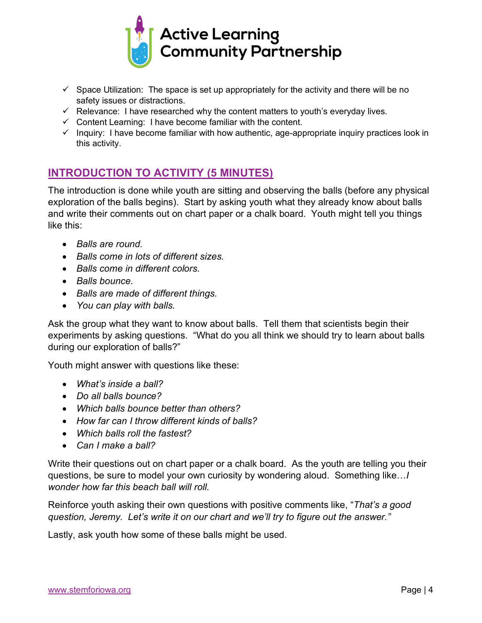

- $\checkmark$  Space Utilization: The space is set up appropriately for the activity and there will be no safety issues or distractions.
- $\checkmark$  Relevance: I have researched why the content matters to youth's everyday lives.
- $\checkmark$  Content Learning: I have become familiar with the content.
- $\checkmark$  Inquiry: I have become familiar with how authentic, age-appropriate inquiry practices look in this activity.

## **INTRODUCTION TO ACTIVITY (5 MINUTES)**

The introduction is done while youth are sitting and observing the balls (before any physical exploration of the balls begins). Start by asking youth what they already know about balls and write their comments out on chart paper or a chalk board. Youth might tell you things like this:

- *Balls are round.*
- *Balls come in lots of different sizes.*
- *Balls come in different colors.*
- *Balls bounce.*
- *Balls are made of different things.*
- *You can play with balls.*

Ask the group what they want to know about balls. Tell them that scientists begin their experiments by asking questions. "What do you all think we should try to learn about balls during our exploration of balls?"

Youth might answer with questions like these:

- *What's inside a ball?*
- *Do all balls bounce?*
- *Which balls bounce better than others?*
- *How far can I throw different kinds of balls?*
- *Which balls roll the fastest?*
- *Can I make a ball?*

Write their questions out on chart paper or a chalk board. As the youth are telling you their questions, be sure to model your own curiosity by wondering aloud. Something like…*I wonder how far this beach ball will roll.*

Reinforce youth asking their own questions with positive comments like, "*That's a good question, Jeremy. Let's write it on our chart and we'll try to figure out the answer."*

Lastly, ask youth how some of these balls might be used.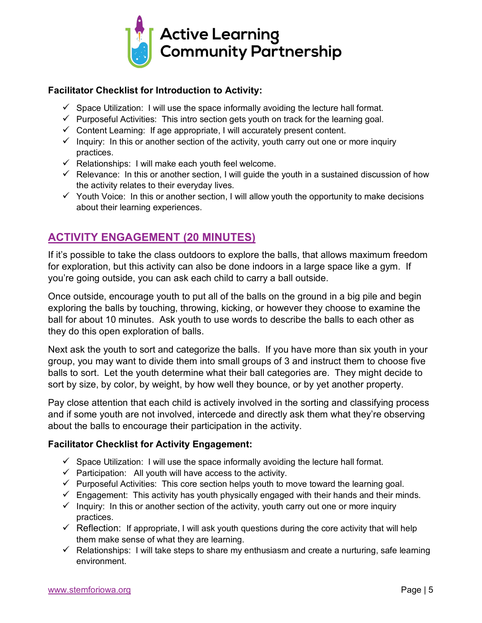

#### **Facilitator Checklist for Introduction to Activity:**

- $\checkmark$  Space Utilization: I will use the space informally avoiding the lecture hall format.
- $\checkmark$  Purposeful Activities: This intro section gets youth on track for the learning goal.
- $\checkmark$  Content Learning: If age appropriate, I will accurately present content.
- $\checkmark$  Inquiry: In this or another section of the activity, youth carry out one or more inquiry practices.
- $\checkmark$  Relationships: I will make each youth feel welcome.
- $\checkmark$  Relevance: In this or another section, I will guide the youth in a sustained discussion of how the activity relates to their everyday lives.
- $\checkmark$  Youth Voice: In this or another section, I will allow youth the opportunity to make decisions about their learning experiences.

# **ACTIVITY ENGAGEMENT (20 MINUTES)**

If it's possible to take the class outdoors to explore the balls, that allows maximum freedom for exploration, but this activity can also be done indoors in a large space like a gym. If you're going outside, you can ask each child to carry a ball outside.

Once outside, encourage youth to put all of the balls on the ground in a big pile and begin exploring the balls by touching, throwing, kicking, or however they choose to examine the ball for about 10 minutes. Ask youth to use words to describe the balls to each other as they do this open exploration of balls.

Next ask the youth to sort and categorize the balls. If you have more than six youth in your group, you may want to divide them into small groups of 3 and instruct them to choose five balls to sort. Let the youth determine what their ball categories are. They might decide to sort by size, by color, by weight, by how well they bounce, or by yet another property.

Pay close attention that each child is actively involved in the sorting and classifying process and if some youth are not involved, intercede and directly ask them what they're observing about the balls to encourage their participation in the activity.

#### **Facilitator Checklist for Activity Engagement:**

- $\checkmark$  Space Utilization: I will use the space informally avoiding the lecture hall format.
- $\checkmark$  Participation: All youth will have access to the activity.
- $\checkmark$  Purposeful Activities: This core section helps youth to move toward the learning goal.
- $\checkmark$  Engagement: This activity has youth physically engaged with their hands and their minds.
- $\checkmark$  Inquiry: In this or another section of the activity, youth carry out one or more inquiry practices.
- $\checkmark$  Reflection: If appropriate, I will ask youth questions during the core activity that will help them make sense of what they are learning.
- $\checkmark$  Relationships: I will take steps to share my enthusiasm and create a nurturing, safe learning environment.